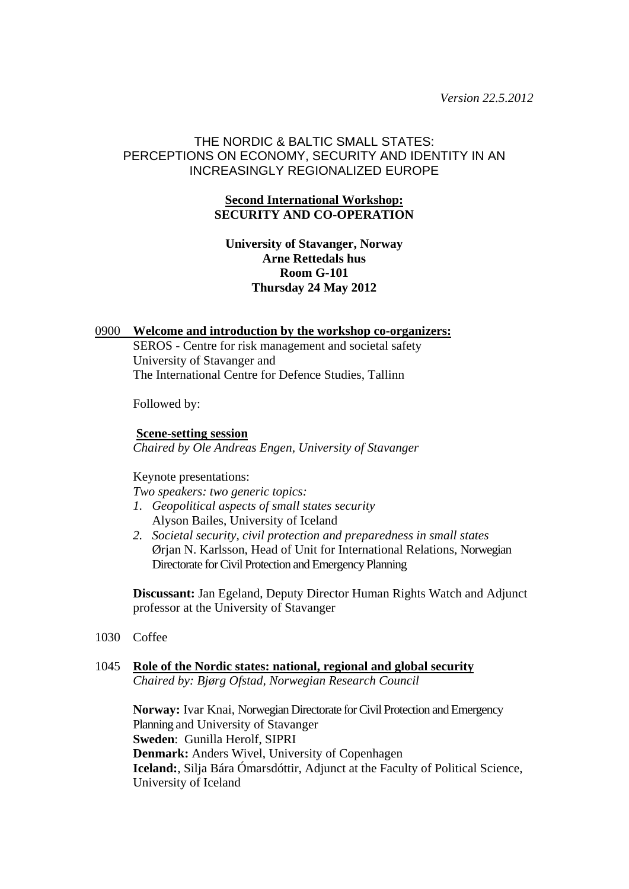*Version 22.5.2012* 

# THE NORDIC & BALTIC SMALL STATES: PERCEPTIONS ON ECONOMY, SECURITY AND IDENTITY IN AN INCREASINGLY REGIONALIZED EUROPE

# **Second International Workshop: SECURITY AND CO-OPERATION**

# **University of Stavanger, Norway Arne Rettedals hus Room G-101 Thursday 24 May 2012**

### 0900 **Welcome and introduction by the workshop co-organizers:**

SEROS - Centre for risk management and societal safety University of Stavanger and The International Centre for Defence Studies, Tallinn

Followed by:

**Scene-setting session** *Chaired by Ole Andreas Engen, University of Stavanger* 

#### Keynote presentations:

*Two speakers: two generic topics:* 

- *1. Geopolitical aspects of small states security*  Alyson Bailes, University of Iceland
- *2. Societal security, civil protection and preparedness in small states*  Ørjan N. Karlsson, Head of Unit for International Relations, Norwegian Directorate for Civil Protection and Emergency Planning

**Discussant:** Jan Egeland, Deputy Director Human Rights Watch and Adjunct professor at the University of Stavanger

1030 Coffee

#### 1045 **Role of the Nordic states: national, regional and global security**  *Chaired by: Bjørg Ofstad, Norwegian Research Council*

**Norway:** Ivar Knai, Norwegian Directorate for Civil Protection and Emergency Planning and University of Stavanger **Sweden**: Gunilla Herolf, SIPRI **Denmark:** Anders Wivel, University of Copenhagen **Iceland:**, Silja Bára Ómarsdóttir, Adjunct at the Faculty of Political Science, University of Iceland